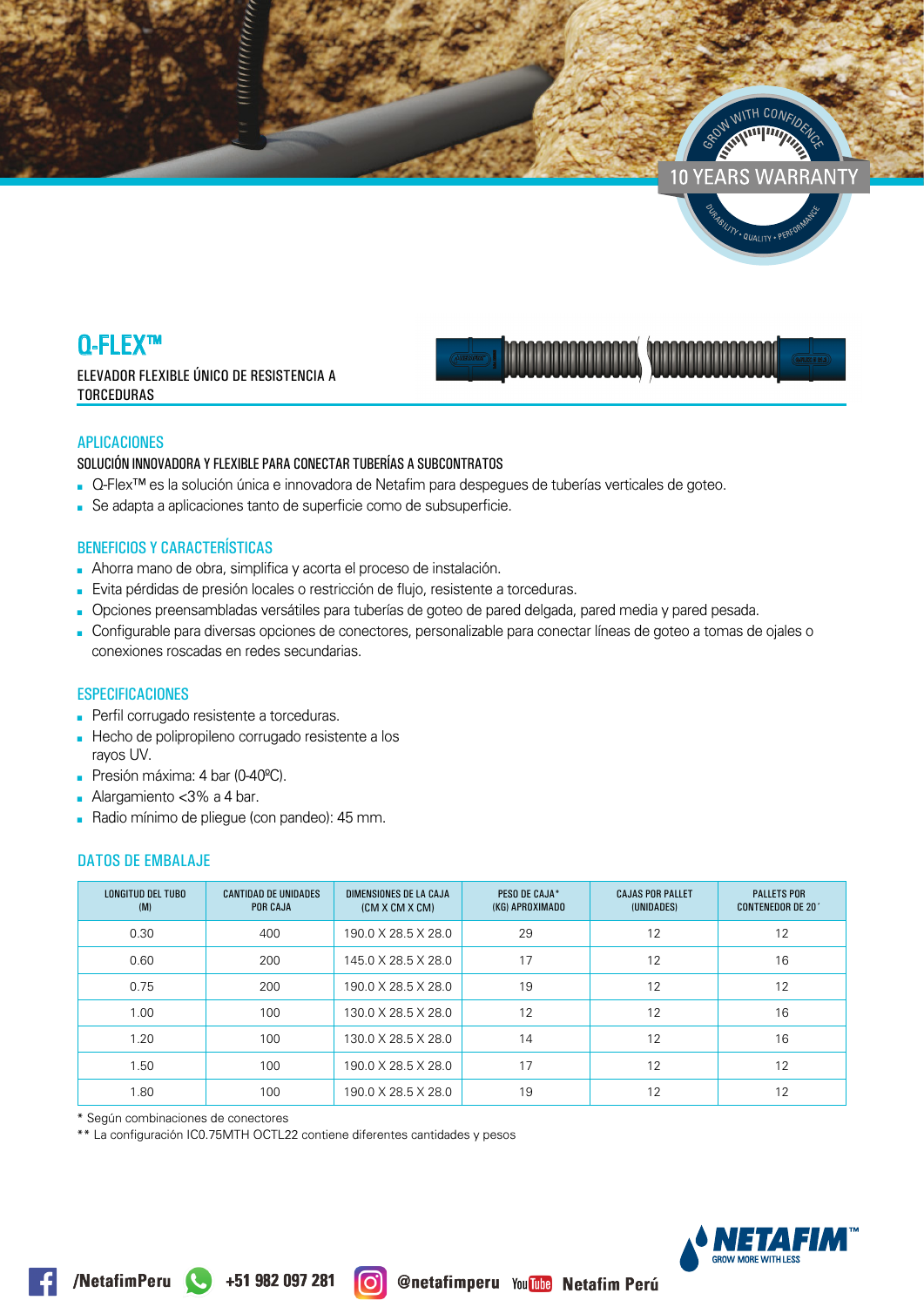



ELEVADOR FLEXIBLE ÚNICO DE RESISTENCIA A **TORCEDURAS** 



y.<sub>QUALITY</sub>.

### **APLICACIONES**

### SOLUCIÓN INNOVADORA Y FLEXIBLE PARA CONECTAR TUBERÍAS A SUBCONTRATOS

- Q-Flex<sup>™</sup> es la solución única e innovadora de Netafim para despeques de tuberías verticales de goteo.
- Se adapta a aplicaciones tanto de superficie como de subsuperficie.

### **BENEFICIOS Y CARACTERÍSTICAS**

- Ahorra mano de obra, simplifica y acorta el proceso de instalación.
- Evita pérdidas de presión locales o restricción de flujo, resistente a torceduras.
- Opciones preensambladas versátiles para tuberías de goteo de pared delgada, pared media y pared pesada.
- Configurable para diversas opciones de conectores, personalizable para conectar líneas de goteo a tomas de ojales o conexiones roscadas en redes secundarias.

### **ESPECIFICACIONES**

- Perfil corrugado resistente a torceduras.
- Hecho de polipropileno corrugado resistente a los ravos UV.
- Presión máxima: 4 bar (0-40°C).
- Alargamiento  $<$ 3% a 4 bar.
- Radio mínimo de pliegue (con pandeo): 45 mm.

## **DATOS DE EMBALAJE**

| <b>LONGITUD DEL TUBO</b><br>(M) | <b>CANTIDAD DE UNIDADES</b><br><b>POR CAJA</b> | DIMENSIONES DE LA CAJA<br>(CM X CM X CM) | PESO DE CAJA*<br>(KG) APROXIMADO | <b>CAJAS POR PALLET</b><br>(UNIDADES) | <b>PALLETS POR</b><br><b>CONTENEDOR DE 20'</b> |
|---------------------------------|------------------------------------------------|------------------------------------------|----------------------------------|---------------------------------------|------------------------------------------------|
| 0.30                            | 400                                            | 190.0 X 28.5 X 28.0                      | 29                               | 12                                    | 12                                             |
| 0.60                            | 200                                            | 145.0 X 28.5 X 28.0                      | 17                               | 12                                    | 16                                             |
| 0.75                            | 200                                            | 190.0 X 28.5 X 28.0                      | 19                               | 12                                    | 12                                             |
| 1.00                            | 100                                            | 130.0 X 28.5 X 28.0                      | 12                               | 12                                    | 16                                             |
| 1.20                            | 100                                            | 130.0 X 28.5 X 28.0                      | 14                               | 12                                    | 16                                             |
| 1.50                            | 100                                            | 190.0 X 28.5 X 28.0                      | 17                               | 12                                    | 12                                             |
| 1.80                            | 100                                            | 190.0 X 28.5 X 28.0                      | 19                               | 12                                    | 12                                             |

\* Según combinaciones de conectores

\*\* La configuración IC0.75MTH OCTL22 contiene diferentes cantidades y pesos

ര

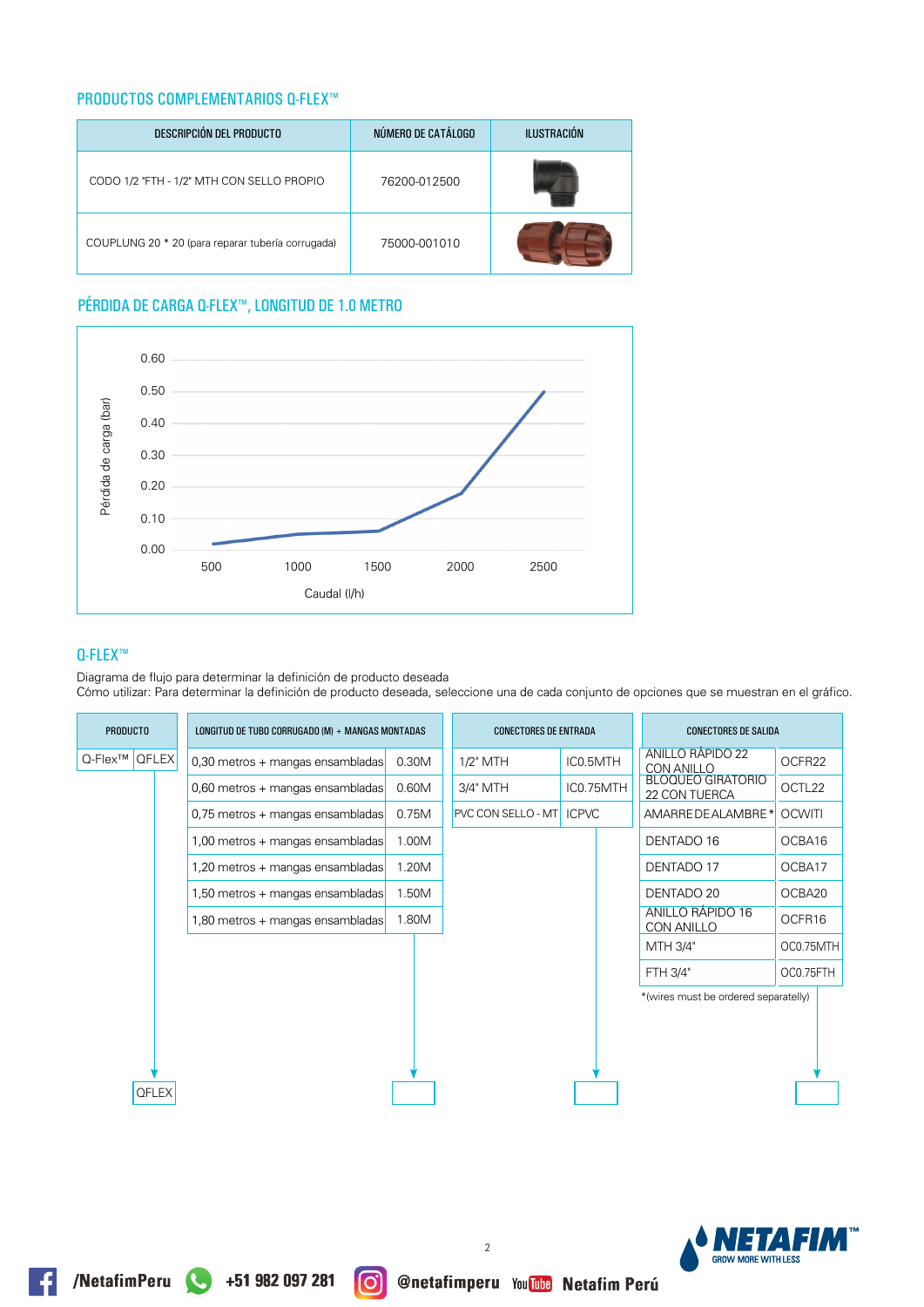### **PRODUCTOS COMPLEMENTARIOS Q-FLEX™**

| DESCRIPCIÓN DEL PRODUCTO                          | NÚMERO DE CATÁLOGO | <b>ILUSTRACIÓN</b> |
|---------------------------------------------------|--------------------|--------------------|
| CODO 1/2 "FTH - 1/2" MTH CON SELLO PROPIO         | 76200-012500       |                    |
| COUPLUNG 20 * 20 (para reparar tubería corrugada) | 75000-001010       |                    |

# PÉRDIDA DE CARGA Q-FLEX™, LONGITUD DE 1.0 METRO



### **Q-FLEX™**

Diagrama de flujo para determinar la definición de producto deseada

Cómo utilizar: Para determinar la definición de producto deseada, seleccione una de cada conjunto de opciones que se muestran en el gráfico.

|                     | <b>PRODUCTO</b><br>LONGITUD DE TUBO CORRUGADO (M) + MANGAS MONTADAS |  | <b>CONECTORES DE ENTRADA</b>     |       | <b>CONECTORES DE SALIDA</b> |                           |              |           |                                           |               |
|---------------------|---------------------------------------------------------------------|--|----------------------------------|-------|-----------------------------|---------------------------|--------------|-----------|-------------------------------------------|---------------|
| Q-Flex <sup>™</sup> | <b>QFLEX</b>                                                        |  | 0,30 metros + mangas ensambladas | 0.30M |                             | 1/2" MTH                  | IC0.5MTH     |           | ANILLO RÁPIDO 22<br><b>CON ANILLO</b>     | OCFR22        |
|                     |                                                                     |  | 0,60 metros + mangas ensambladas | 0.60M |                             | 3/4" MTH                  |              | IC0.75MTH | <b>BLOQUEO GIRATORIO</b><br>22 CON TUERCA | OCTL22        |
|                     |                                                                     |  | 0,75 metros + mangas ensambladas | 0.75M |                             | <b>PVC CON SELLO - MT</b> | <b>ICPVC</b> |           | AMARRE DE ALAMBRE *                       | <b>OCWITI</b> |
|                     |                                                                     |  | 1,00 metros + mangas ensambladas | 1.00M |                             |                           |              |           | DENTADO 16                                | OCBA16        |
|                     |                                                                     |  | 1,20 metros + mangas ensambladas | 1.20M |                             |                           |              |           | DENTADO 17                                | OCBA17        |
|                     |                                                                     |  | 1,50 metros + mangas ensambladas | 1.50M |                             |                           |              |           | DENTADO 20                                | OCBA20        |
|                     |                                                                     |  | 1,80 metros + mangas ensambladas | 1.80M |                             |                           |              |           | ANILLO RÁPIDO 16<br>CON ANILLO            | OCFR16        |
|                     |                                                                     |  |                                  |       |                             |                           |              |           | MTH 3/4"                                  | OC0.75MTH     |
|                     |                                                                     |  |                                  |       |                             |                           |              |           | FTH 3/4"                                  | OC0.75FTH     |
|                     |                                                                     |  |                                  |       |                             |                           |              |           | *(wires must be ordered separatelly)      |               |
|                     |                                                                     |  |                                  |       |                             |                           |              |           |                                           |               |
|                     |                                                                     |  |                                  |       |                             |                           |              |           |                                           |               |
|                     | <b>QFLEX</b>                                                        |  |                                  |       |                             |                           |              |           |                                           |               |
|                     |                                                                     |  |                                  |       |                             |                           |              |           |                                           |               |



 $\overline{2}$ 

രി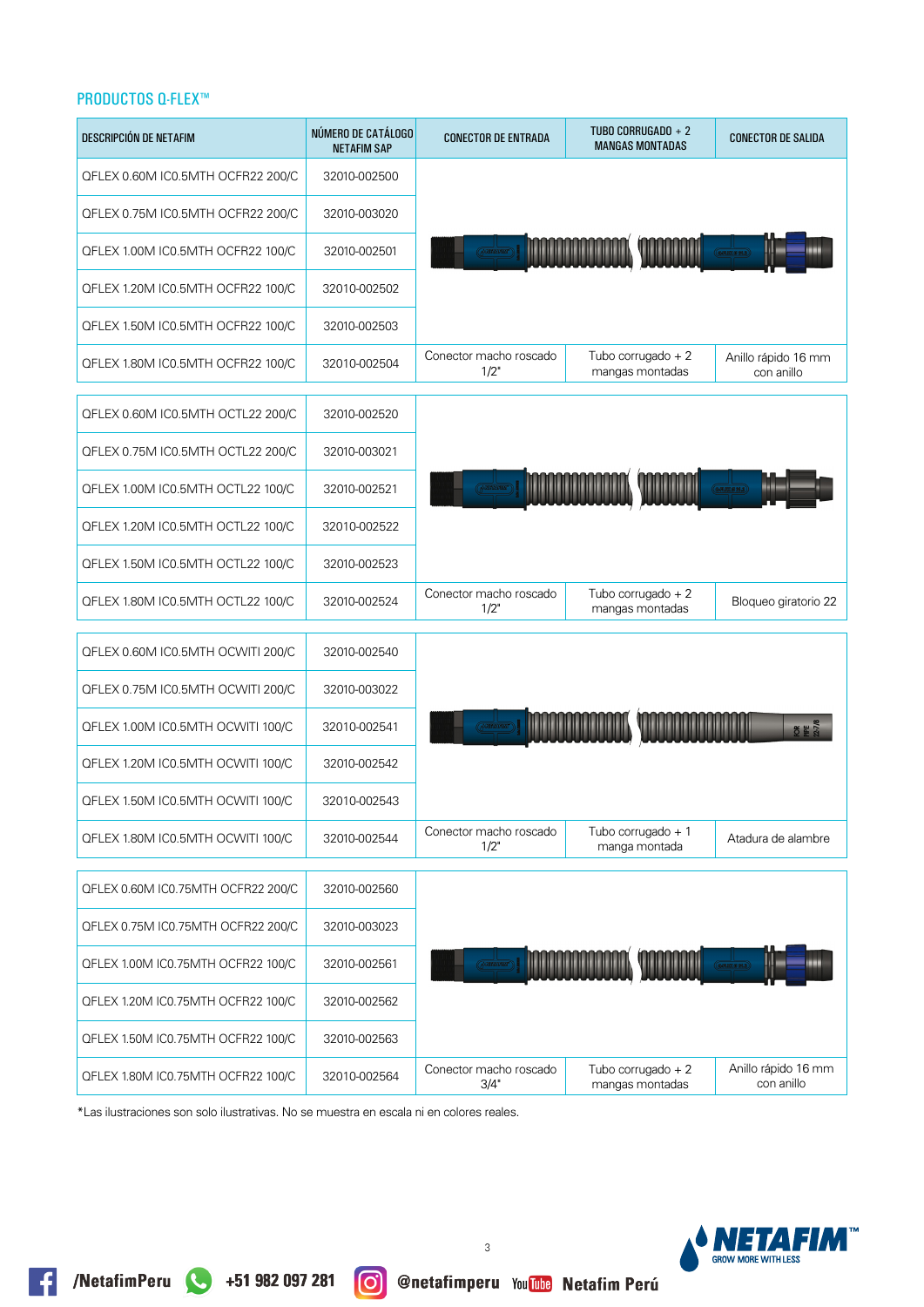| DESCRIPCIÓN DE NETAFIM             | NÚMERO DE CATÁLOGO<br><b>NETAFIM SAP</b> | <b>CONECTOR DE ENTRADA</b>     | TUBO CORRUGADO + 2<br><b>MANGAS MONTADAS</b> | <b>CONECTOR DE SALIDA</b>         |
|------------------------------------|------------------------------------------|--------------------------------|----------------------------------------------|-----------------------------------|
| QFLEX 0.60M IC0.5MTH OCFR22 200/C  | 32010-002500                             |                                |                                              |                                   |
| QFLEX 0.75M IC0.5MTH OCFR22 200/C  | 32010-003020                             |                                |                                              |                                   |
| QFLEX 1.00M IC0.5MTH OCFR22 100/C  | 32010-002501                             |                                |                                              |                                   |
| QFLEX 1.20M IC0.5MTH OCFR22 100/C  | 32010-002502                             |                                |                                              |                                   |
| QFLEX 1.50M IC0.5MTH OCFR22 100/C  | 32010-002503                             |                                |                                              |                                   |
| QFLEX 1.80M IC0.5MTH OCFR22 100/C  | 32010-002504                             | Conector macho roscado<br>1/2" | Tubo corrugado + 2<br>mangas montadas        | Anillo rápido 16 mm<br>con anillo |
| QFLEX 0.60M IC0.5MTH OCTL22 200/C  | 32010-002520                             |                                |                                              |                                   |
| QFLEX 0.75M IC0.5MTH OCTL22 200/C  | 32010-003021                             |                                |                                              |                                   |
| QFLEX 1.00M IC0.5MTH OCTL22 100/C  | 32010-002521                             |                                |                                              |                                   |
| QFLEX 1.20M IC0.5MTH OCTL22 100/C  | 32010-002522                             |                                |                                              |                                   |
| QFLEX 1.50M IC0.5MTH OCTL22 100/C  | 32010-002523                             |                                |                                              |                                   |
| QFLEX 1.80M IC0.5MTH OCTL22 100/C  | 32010-002524                             | Conector macho roscado<br>1/2" | Tubo corrugado + 2<br>mangas montadas        | Bloqueo giratorio 22              |
| QFLEX 0.60M IC0.5MTH OCWITI 200/C  | 32010-002540                             |                                |                                              |                                   |
| QFLEX 0.75M IC0.5MTH OCWITI 200/C  | 32010-003022                             |                                |                                              |                                   |
| QFLEX 1.00M IC0.5MTH OCWITI 100/C  | 32010-002541                             |                                |                                              | ok<br>图 1                         |
| QFLEX 1.20M IC0.5MTH OCWITI 100/C  | 32010-002542                             |                                |                                              |                                   |
| QFLEX 1.50M IC0.5MTH OCWITI 100/C  | 32010-002543                             |                                |                                              |                                   |
| QFLEX 1.80M IC0.5MTH OCWITI 100/C  | 32010-002544                             | Conector macho roscado<br>1/2" | Tubo corrugado + 1<br>manga montada          | Atadura de alambre                |
| QFLEX 0.60M IC0.75MTH OCFR22 200/C | 32010-002560                             |                                |                                              |                                   |
| QFLEX 0.75M IC0.75MTH OCFR22 200/C | 32010-003023                             |                                |                                              |                                   |
| QFLEX 1.00M IC0.75MTH OCFR22 100/C | 32010-002561                             |                                |                                              |                                   |
| QFLEX 1.20M IC0.75MTH OCFR22 100/C | 32010-002562                             |                                |                                              |                                   |
| QFLEX 1.50M IC0.75MTH OCFR22 100/C | 32010-002563                             |                                |                                              |                                   |
| QFLEX 1.80M IC0.75MTH OCFR22 100/C | 32010-002564                             | Conector macho roscado<br>3/4" | Tubo corrugado $+2$<br>mangas montadas       | Anillo rápido 16 mm<br>con anillo |

\*Las ilustraciones son solo ilustrativas. No se muestra en escala ni en colores reales.



**O @netafimperu You The Netafim Perú**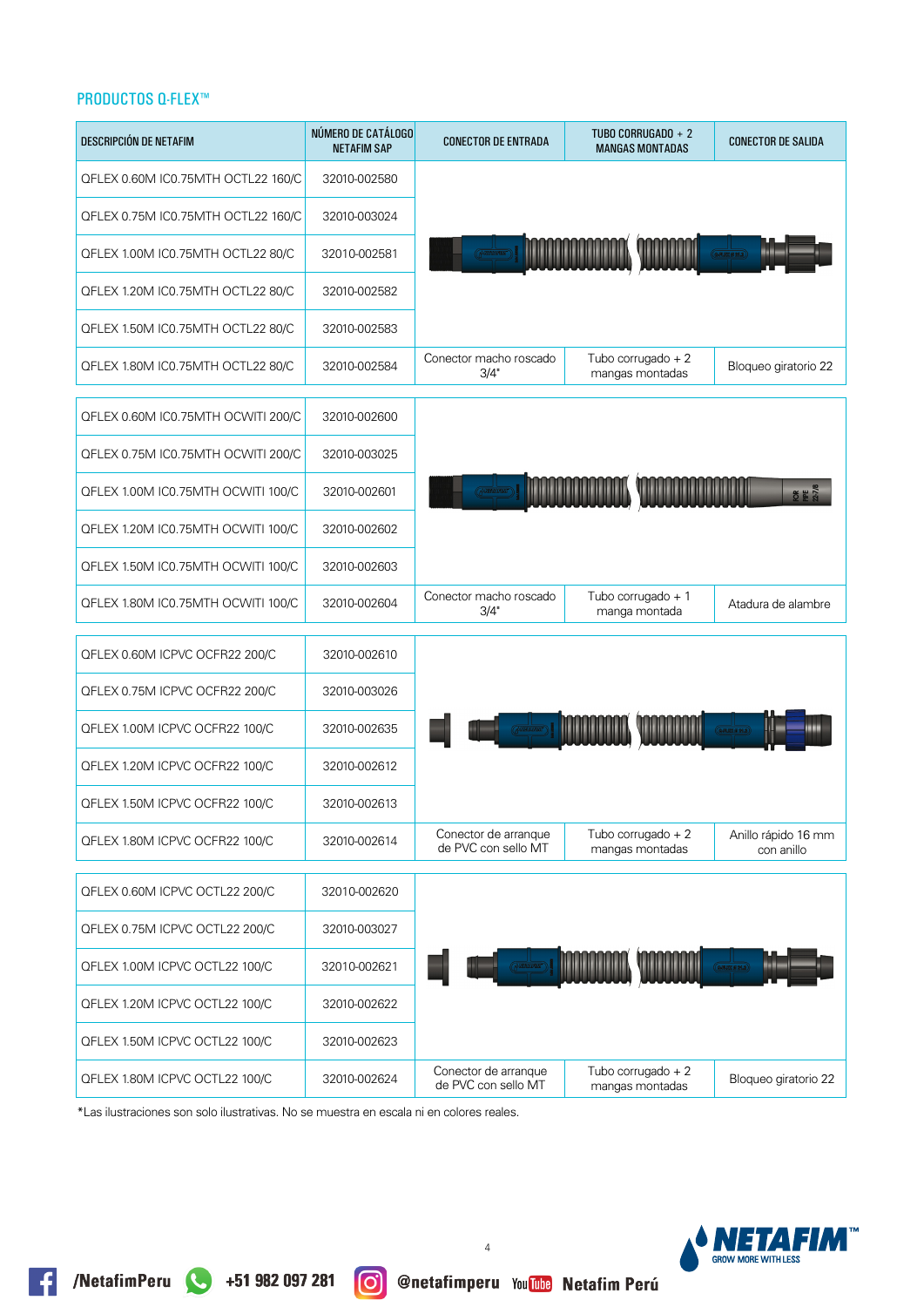| <b>DESCRIPCIÓN DE NETAFIM</b>      | NÚMERO DE CATÁLOGO<br><b>NETAFIM SAP</b> | <b>CONECTOR DE ENTRADA</b>                  | TUBO CORRUGADO + 2<br><b>MANGAS MONTADAS</b> | <b>CONECTOR DE SALIDA</b>         |
|------------------------------------|------------------------------------------|---------------------------------------------|----------------------------------------------|-----------------------------------|
| QFLEX 0.60M IC0.75MTH OCTL22 160/C | 32010-002580                             |                                             |                                              |                                   |
| QFLEX 0.75M IC0.75MTH OCTL22 160/C | 32010-003024                             |                                             |                                              |                                   |
| QFLEX 1.00M IC0.75MTH OCTL22 80/C  | 32010-002581                             |                                             |                                              |                                   |
| QFLEX 1.20M IC0.75MTH OCTL22 80/C  | 32010-002582                             |                                             |                                              |                                   |
| QFLEX 1.50M IC0.75MTH OCTL22 80/C  | 32010-002583                             |                                             |                                              |                                   |
| QFLEX 1.80M IC0.75MTH OCTL22 80/C  | 32010-002584                             | Conector macho roscado<br>3/4"              | Tubo corrugado $+2$<br>mangas montadas       | Bloqueo giratorio 22              |
| QFLEX 0.60M IC0.75MTH OCWITI 200/C | 32010-002600                             |                                             |                                              |                                   |
| QFLEX 0.75M IC0.75MTH OCWITI 200/C | 32010-003025                             |                                             |                                              |                                   |
| QFLEX 1.00M IC0.75MTH OCWITI 100/C | 32010-002601                             |                                             |                                              | <b>OF # 27/4</b>                  |
| QFLEX 1.20M IC0.75MTH OCWITI 100/C | 32010-002602                             |                                             |                                              |                                   |
| QFLEX 1.50M IC0.75MTH OCWITI 100/C | 32010-002603                             |                                             |                                              |                                   |
| QFLEX 1.80M IC0.75MTH OCWITI 100/C | 32010-002604                             | Conector macho roscado<br>3/4"              | Tubo corrugado + 1<br>manga montada          | Atadura de alambre                |
| QFLEX 0.60M ICPVC OCFR22 200/C     | 32010-002610                             |                                             |                                              |                                   |
| QFLEX 0.75M ICPVC OCFR22 200/C     | 32010-003026                             |                                             |                                              |                                   |
| QFLEX 1.00M ICPVC OCFR22 100/C     | 32010-002635                             |                                             |                                              |                                   |
| QFLEX 1.20M ICPVC OCFR22 100/C     | 32010-002612                             |                                             |                                              |                                   |
| QFLEX 1.50M ICPVC OCFR22 100/C     | 32010-002613                             |                                             |                                              |                                   |
| QFLEX 1.80M ICPVC OCFR22 100/C     | 32010-002614                             | Conector de arranque<br>de PVC con sello MT | Tubo corrugado + 2<br>mangas montadas        | Anillo rápido 16 mm<br>con anillo |
| QFLEX 0.60M ICPVC OCTL22 200/C     | 32010-002620                             |                                             |                                              |                                   |
| QFLEX 0.75M ICPVC OCTL22 200/C     | 32010-003027                             |                                             |                                              |                                   |
| QFLEX 1.00M ICPVC OCTL22 100/C     | 32010-002621                             |                                             |                                              | --                                |
| QFLEX 1.20M ICPVC OCTL22 100/C     | 32010-002622                             |                                             |                                              |                                   |
| QFLEX 1.50M ICPVC OCTL22 100/C     | 32010-002623                             |                                             |                                              |                                   |
| QFLEX 1.80M ICPVC OCTL22 100/C     | 32010-002624                             | Conector de arranque<br>de PVC con sello MT | Tubo corrugado $+2$<br>mangas montadas       | Bloqueo giratorio 22              |

\*Las ilustraciones son solo ilustrativas. No se muestra en escala ni en colores reales.

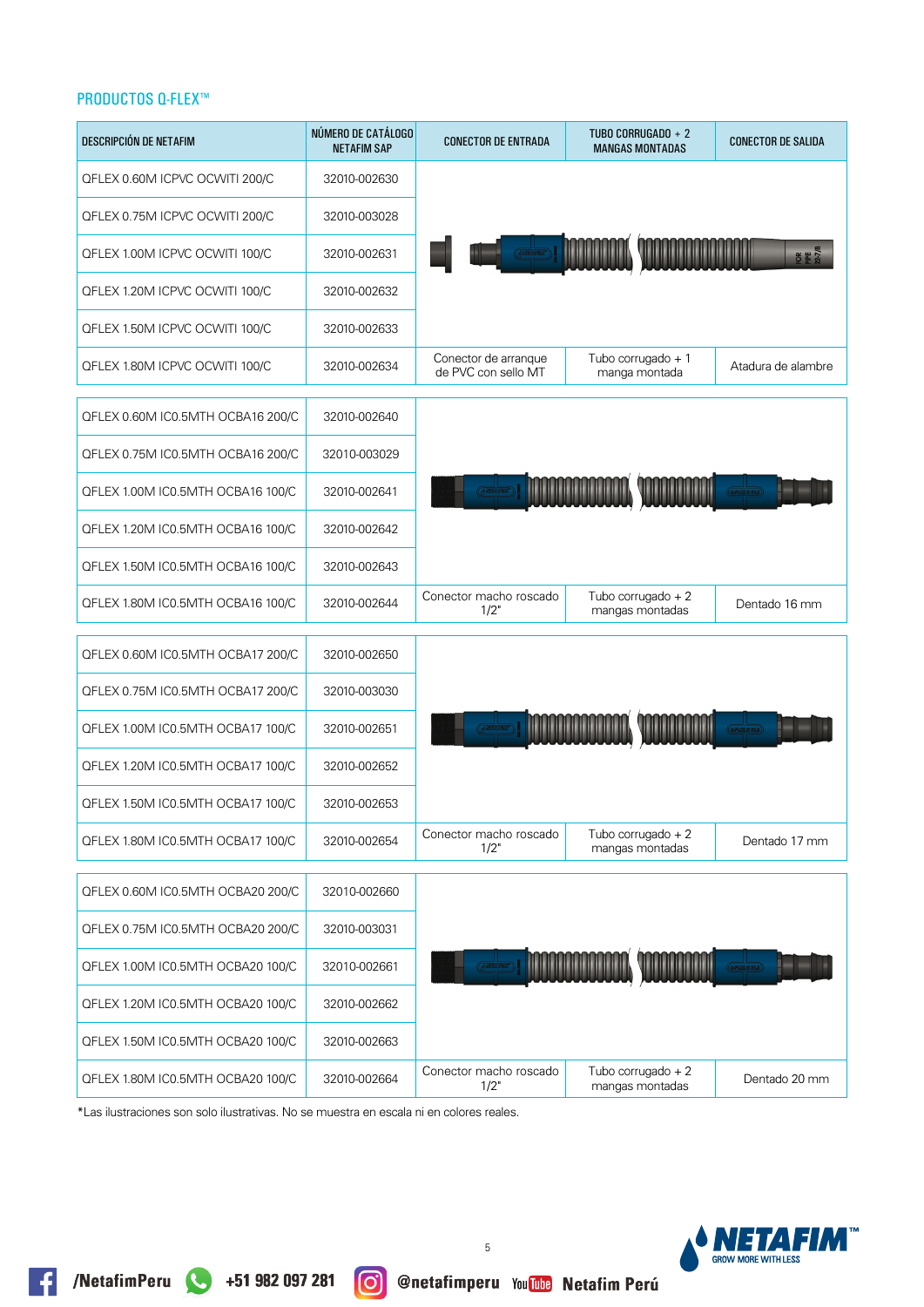| DESCRIPCIÓN DE NETAFIM            | NÚMERO DE CATÁLOGO<br><b>NETAFIM SAP</b> | <b>CONECTOR DE ENTRADA</b>                  | TUBO CORRUGADO + 2<br><b>MANGAS MONTADAS</b> | <b>CONECTOR DE SALIDA</b> |
|-----------------------------------|------------------------------------------|---------------------------------------------|----------------------------------------------|---------------------------|
| QFLEX 0.60M ICPVC OCWITI 200/C    | 32010-002630                             |                                             |                                              |                           |
| QFLEX 0.75M ICPVC OCWITI 200/C    | 32010-003028                             |                                             |                                              |                           |
| QFLEX 1.00M ICPVC OCWITI 100/C    | 32010-002631                             |                                             |                                              | OK NE                     |
| QFLEX 1.20M ICPVC OCWITI 100/C    | 32010-002632                             |                                             |                                              |                           |
| QFLEX 1.50M ICPVC OCWITI 100/C    | 32010-002633                             |                                             |                                              |                           |
| QFLEX 1.80M ICPVC OCWITI 100/C    | 32010-002634                             | Conector de arranque<br>de PVC con sello MT | Tubo corrugado + 1<br>manga montada          | Atadura de alambre        |
| QFLEX 0.60M IC0.5MTH OCBA16 200/C | 32010-002640                             |                                             |                                              |                           |
| QFLEX 0.75M IC0.5MTH OCBA16 200/C | 32010-003029                             |                                             |                                              |                           |
| QFLEX 1.00M IC0.5MTH OCBA16 100/C | 32010-002641                             |                                             |                                              |                           |
| QFLEX 1.20M IC0.5MTH OCBA16 100/C | 32010-002642                             |                                             |                                              |                           |
| QFLEX 1.50M IC0.5MTH OCBA16 100/C | 32010-002643                             |                                             |                                              |                           |
| QFLEX 1.80M IC0.5MTH OCBA16 100/C | 32010-002644                             | Conector macho roscado<br>1/2"              | Tubo corrugado $+2$<br>mangas montadas       | Dentado 16 mm             |
| QFLEX 0.60M IC0.5MTH OCBA17 200/C | 32010-002650                             |                                             |                                              |                           |
| QFLEX 0.75M IC0.5MTH OCBA17 200/C | 32010-003030                             |                                             |                                              |                           |
| QFLEX 1.00M IC0.5MTH OCBA17 100/C | 32010-002651                             |                                             |                                              |                           |
| QFLEX 1.20M IC0.5MTH OCBA17 100/C | 32010-002652                             |                                             |                                              |                           |
| QFLEX 1.50M IC0.5MTH OCBA17 100/C | 32010-002653                             |                                             |                                              |                           |
| QFLEX 1.80M IC0.5MTH OCBA17 100/C | 32010-002654                             | Conector macho roscado<br>1/2"              | Tubo corrugado $+2$<br>mangas montadas       | Dentado 17 mm             |
| QFLEX 0.60M IC0.5MTH OCBA20 200/C | 32010-002660                             |                                             |                                              |                           |
| QFLEX 0.75M IC0.5MTH OCBA20 200/C | 32010-003031                             |                                             |                                              |                           |
| QFLEX 1.00M IC0.5MTH OCBA20 100/C | 32010-002661                             |                                             |                                              |                           |
| QFLEX 1.20M IC0.5MTH OCBA20 100/C | 32010-002662                             |                                             |                                              |                           |
| QFLEX 1.50M IC0.5MTH OCBA20 100/C | 32010-002663                             |                                             |                                              |                           |
| QFLEX 1.80M IC0.5MTH OCBA20 100/C | 32010-002664                             | Conector macho roscado<br>1/2"              | Tubo corrugado $+2$<br>mangas montadas       | Dentado 20 mm             |

\*Las ilustraciones son solo ilustrativas. No se muestra en escala ni en colores reales.

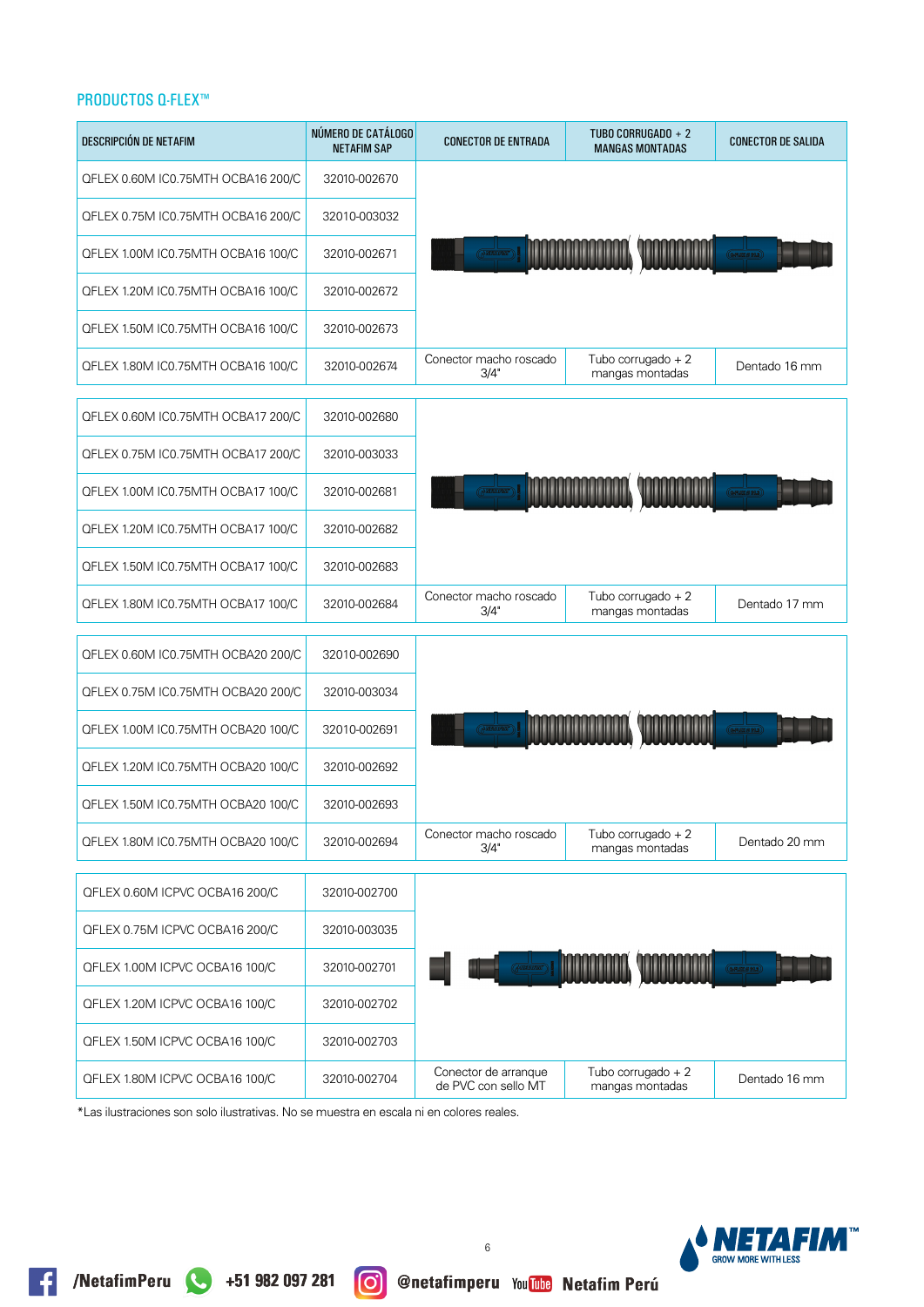| DESCRIPCIÓN DE NETAFIM             | NÚMERO DE CATÁLOGO<br><b>NETAFIM SAP</b> | <b>CONECTOR DE ENTRADA</b>                  | TUBO CORRUGADO + 2<br><b>MANGAS MONTADAS</b> | <b>CONECTOR DE SALIDA</b> |
|------------------------------------|------------------------------------------|---------------------------------------------|----------------------------------------------|---------------------------|
| QFLEX 0.60M IC0.75MTH OCBA16 200/C | 32010-002670                             |                                             |                                              |                           |
| QFLEX 0.75M IC0.75MTH OCBA16 200/C | 32010-003032                             |                                             |                                              |                           |
| QFLEX 1.00M IC0.75MTH OCBA16 100/C | 32010-002671                             |                                             |                                              |                           |
| QFLEX 1.20M IC0.75MTH OCBA16 100/C | 32010-002672                             |                                             |                                              |                           |
| QFLEX 1.50M IC0.75MTH OCBA16 100/C | 32010-002673                             |                                             |                                              |                           |
| QFLEX 1.80M IC0.75MTH OCBA16 100/C | 32010-002674                             | Conector macho roscado<br>3/4"              | Tubo corrugado $+2$<br>mangas montadas       | Dentado 16 mm             |
| QFLEX 0.60M IC0.75MTH OCBA17 200/C | 32010-002680                             |                                             |                                              |                           |
| QFLEX 0.75M IC0.75MTH OCBA17 200/C | 32010-003033                             |                                             |                                              |                           |
| QFLEX 1.00M IC0.75MTH OCBA17 100/C | 32010-002681                             |                                             |                                              |                           |
| QFLEX 1.20M IC0.75MTH OCBA17 100/C | 32010-002682                             |                                             |                                              |                           |
| QFLEX 1.50M IC0.75MTH OCBA17 100/C | 32010-002683                             |                                             |                                              |                           |
| QFLEX 1.80M IC0.75MTH OCBA17 100/C | 32010-002684                             | Conector macho roscado<br>3/4"              | Tubo corrugado $+2$<br>mangas montadas       | Dentado 17 mm             |
| QFLEX 0.60M IC0.75MTH OCBA20 200/C | 32010-002690                             |                                             |                                              |                           |
| QFLEX 0.75M IC0.75MTH OCBA20 200/C | 32010-003034                             |                                             |                                              |                           |
| QFLEX 1.00M IC0.75MTH OCBA20 100/C | 32010-002691                             |                                             |                                              |                           |
| QFLEX 1.20M IC0.75MTH OCBA20 100/C | 32010-002692                             |                                             |                                              |                           |
| QFLEX 1.50M IC0.75MTH OCBA20 100/C | 32010-002693                             |                                             |                                              |                           |
| QFLEX 1.80M IC0.75MTH OCBA20 100/C | 32010-002694                             | Conector macho roscado<br>3/4"              | Tubo corrugado $+2$<br>mangas montadas       | Dentado 20 mm             |
| QFLEX 0.60M ICPVC OCBA16 200/C     | 32010-002700                             |                                             |                                              |                           |
| QFLEX 0.75M ICPVC OCBA16 200/C     | 32010-003035                             |                                             |                                              |                           |
| QFLEX 1.00M ICPVC OCBA16 100/C     | 32010-002701                             |                                             |                                              |                           |
| QFLEX 1.20M ICPVC OCBA16 100/C     | 32010-002702                             |                                             |                                              |                           |
| QFLEX 1.50M ICPVC OCBA16 100/C     | 32010-002703                             |                                             |                                              |                           |
| QFLEX 1.80M ICPVC OCBA16 100/C     | 32010-002704                             | Conector de arranque<br>de PVC con sello MT | Tubo corrugado $+2$<br>mangas montadas       | Dentado 16 mm             |

\*Las ilustraciones son solo ilustrativas. No se muestra en escala ni en colores reales.

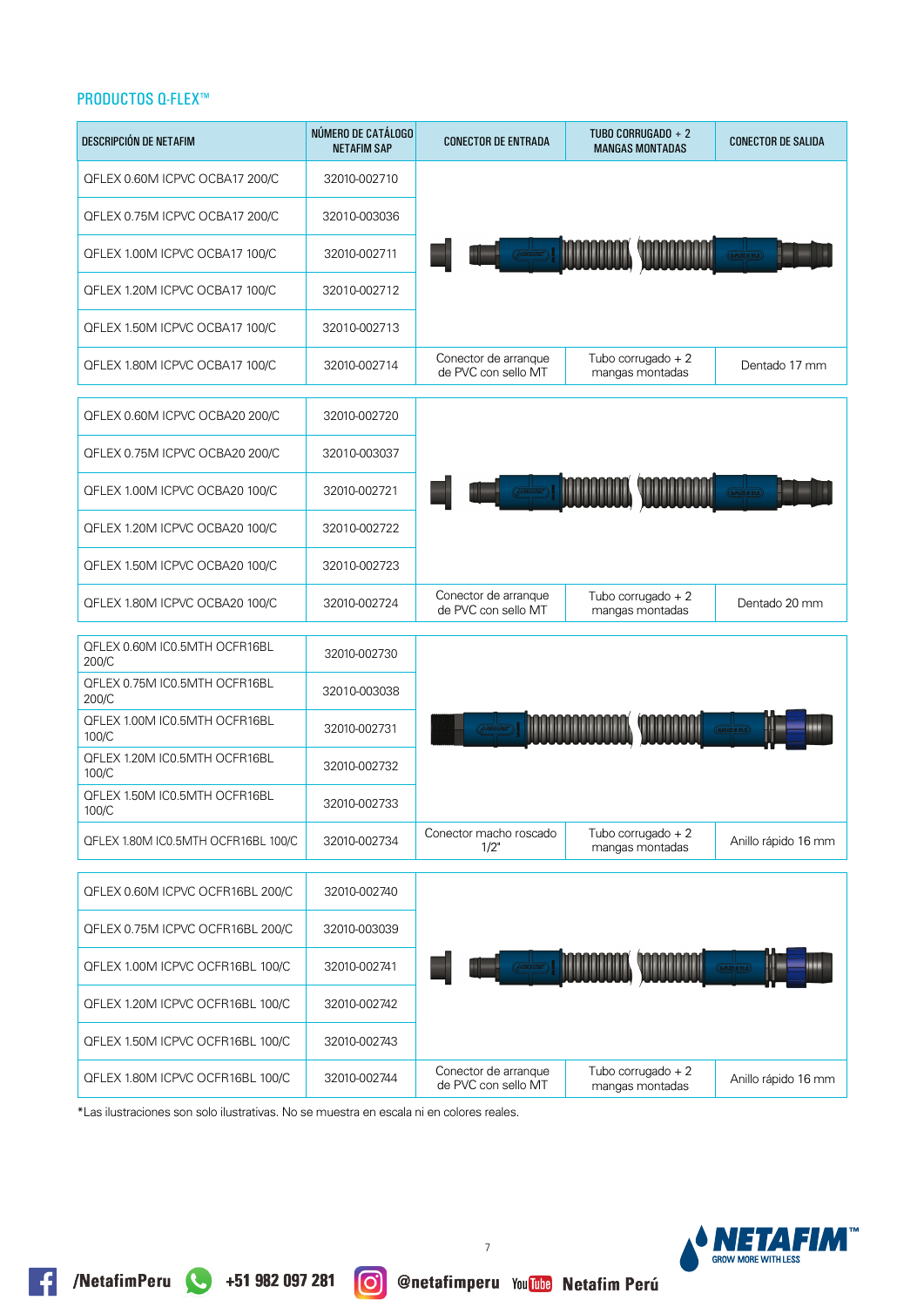| DESCRIPCIÓN DE NETAFIM                 | NÚMERO DE CATÁLOGO<br><b>NETAFIM SAP</b> | <b>CONECTOR DE ENTRADA</b>                  | TUBO CORRUGADO + 2<br><b>MANGAS MONTADAS</b> | <b>CONECTOR DE SALIDA</b> |
|----------------------------------------|------------------------------------------|---------------------------------------------|----------------------------------------------|---------------------------|
| QFLEX 0.60M ICPVC OCBA17 200/C         | 32010-002710                             |                                             |                                              |                           |
| QFLEX 0.75M ICPVC OCBA17 200/C         | 32010-003036                             |                                             |                                              |                           |
| QFLEX 1.00M ICPVC OCBA17 100/C         | 32010-002711                             |                                             |                                              |                           |
| QFLEX 1.20M ICPVC OCBA17 100/C         | 32010-002712                             |                                             |                                              |                           |
| QFLEX 1.50M ICPVC OCBA17 100/C         | 32010-002713                             |                                             |                                              |                           |
| QFLEX 1.80M ICPVC OCBA17 100/C         | 32010-002714                             | Conector de arranque<br>de PVC con sello MT | Tubo corrugado + 2<br>mangas montadas        | Dentado 17 mm             |
| QFLEX 0.60M ICPVC OCBA20 200/C         | 32010-002720                             |                                             |                                              |                           |
| QFLEX 0.75M ICPVC OCBA20 200/C         | 32010-003037                             |                                             |                                              |                           |
| QFLEX 1.00M ICPVC OCBA20 100/C         | 32010-002721                             |                                             |                                              |                           |
| QFLEX 1.20M ICPVC OCBA20 100/C         | 32010-002722                             |                                             |                                              |                           |
| QFLEX 1.50M ICPVC OCBA20 100/C         | 32010-002723                             |                                             |                                              |                           |
| QFLEX 1.80M ICPVC OCBA20 100/C         | 32010-002724                             | Conector de arranque<br>de PVC con sello MT | Tubo corrugado $+2$<br>mangas montadas       | Dentado 20 mm             |
| QFLEX 0.60M IC0.5MTH OCFR16BL<br>200/C | 32010-002730                             |                                             |                                              |                           |
| QFLEX 0.75M IC0.5MTH OCFR16BL<br>200/C | 32010-003038                             |                                             |                                              |                           |
| QFLEX 1.00M IC0.5MTH OCFR16BL<br>100/C | 32010-002731                             |                                             |                                              |                           |
| QFLEX 1.20M IC0.5MTH OCFR16BL<br>100/C | 32010-002732                             |                                             |                                              |                           |
| QFLEX 1.50M IC0.5MTH OCFR16BL<br>100/C | 32010-002733                             |                                             |                                              |                           |
| QFLEX 1.80M IC0.5MTH OCFR16BL 100/C    | 32010-002734                             | Conector macho roscado<br>1/2"              | Tubo corrugado + 2<br>mangas montadas        | Anillo rápido 16 mm       |
| QFLEX 0.60M ICPVC OCFR16BL 200/C       | 32010-002740                             |                                             |                                              |                           |
| QFLEX 0.75M ICPVC OCFR16BL 200/C       | 32010-003039                             |                                             |                                              |                           |
| QFLEX 1.00M ICPVC OCFR16BL 100/C       | 32010-002741                             |                                             |                                              |                           |
| QFLEX 1.20M ICPVC OCFR16BL 100/C       | 32010-002742                             |                                             |                                              |                           |
| QFLEX 1.50M ICPVC OCFR16BL 100/C       | 32010-002743                             |                                             |                                              |                           |
| QFLEX 1.80M ICPVC OCFR16BL 100/C       | 32010-002744                             | Conector de arranque<br>de PVC con sello MT | Tubo corrugado $+2$<br>mangas montadas       | Anillo rápido 16 mm       |

\*Las ilustraciones son solo ilustrativas. No se muestra en escala ni en colores reales.